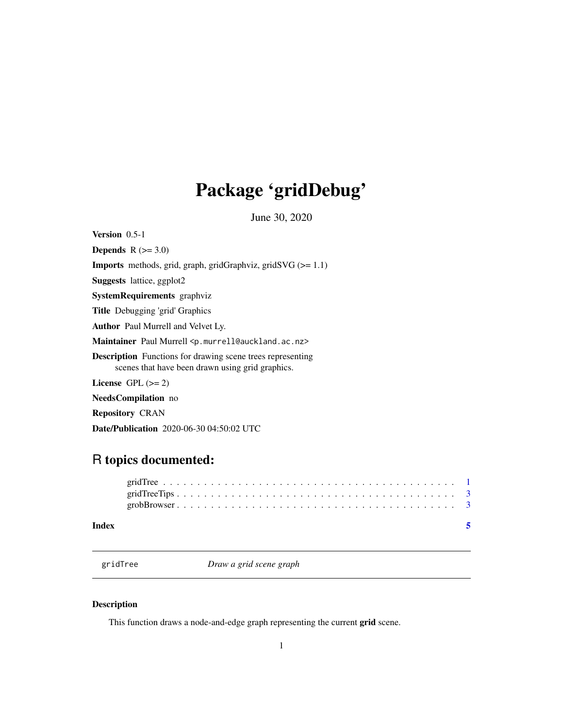## <span id="page-0-0"></span>Package 'gridDebug'

June 30, 2020

Version 0.5-1

Depends  $R$  ( $>= 3.0$ ) Imports methods, grid, graph, gridGraphviz, gridSVG (>= 1.1) Suggests lattice, ggplot2 SystemRequirements graphviz Title Debugging 'grid' Graphics Author Paul Murrell and Velvet Ly. Maintainer Paul Murrell <p.murrell@auckland.ac.nz> Description Functions for drawing scene trees representing scenes that have been drawn using grid graphics. License GPL  $(>= 2)$ NeedsCompilation no Repository CRAN

#### Date/Publication 2020-06-30 04:50:02 UTC

### R topics documented:

| Index |  |  |  |  |  |  |  |  |  |  |  |  |  |  |  |  |  |  |  |
|-------|--|--|--|--|--|--|--|--|--|--|--|--|--|--|--|--|--|--|--|
|       |  |  |  |  |  |  |  |  |  |  |  |  |  |  |  |  |  |  |  |
|       |  |  |  |  |  |  |  |  |  |  |  |  |  |  |  |  |  |  |  |

<span id="page-0-1"></span>gridTree *Draw a grid scene graph*

#### Description

This function draws a node-and-edge graph representing the current grid scene.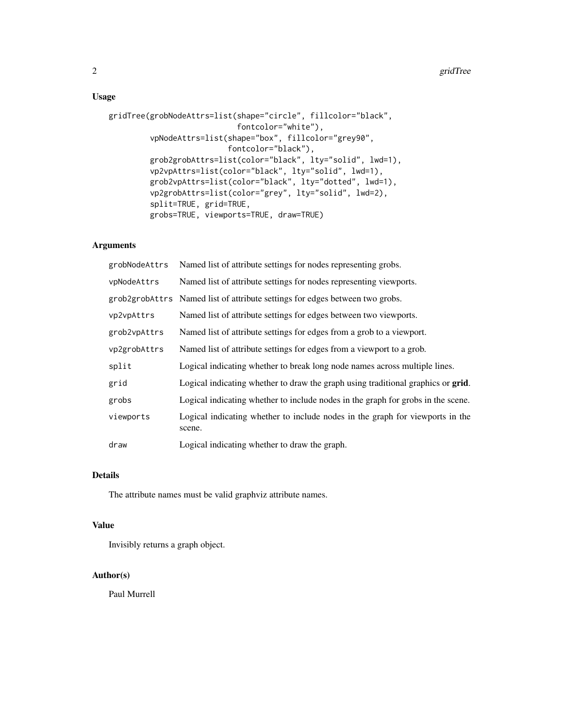#### Usage

```
gridTree(grobNodeAttrs=list(shape="circle", fillcolor="black",
                   fontcolor="white"),
vpNodeAttrs=list(shape="box", fillcolor="grey90",
                 fontcolor="black"),
grob2grobAttrs=list(color="black", lty="solid", lwd=1),
vp2vpAttrs=list(color="black", lty="solid", lwd=1),
grob2vpAttrs=list(color="black", lty="dotted", lwd=1),
vp2grobAttrs=list(color="grey", lty="solid", lwd=2),
split=TRUE, grid=TRUE,
grobs=TRUE, viewports=TRUE, draw=TRUE)
```
#### Arguments

| grobNodeAttrs | Named list of attribute settings for nodes representing grobs.                          |
|---------------|-----------------------------------------------------------------------------------------|
| vpNodeAttrs   | Named list of attribute settings for nodes representing viewports.                      |
|               | grob2grobAttrs Named list of attribute settings for edges between two grobs.            |
| vp2vpAttrs    | Named list of attribute settings for edges between two viewports.                       |
| grob2vpAttrs  | Named list of attribute settings for edges from a grob to a viewport.                   |
| vp2grobAttrs  | Named list of attribute settings for edges from a viewport to a grob.                   |
| split         | Logical indicating whether to break long node names across multiple lines.              |
| grid          | Logical indicating whether to draw the graph using traditional graphics or grid.        |
| grobs         | Logical indicating whether to include nodes in the graph for grobs in the scene.        |
| viewports     | Logical indicating whether to include nodes in the graph for viewports in the<br>scene. |
| draw          | Logical indicating whether to draw the graph.                                           |

#### Details

The attribute names must be valid graphviz attribute names.

#### Value

Invisibly returns a graph object.

#### Author(s)

Paul Murrell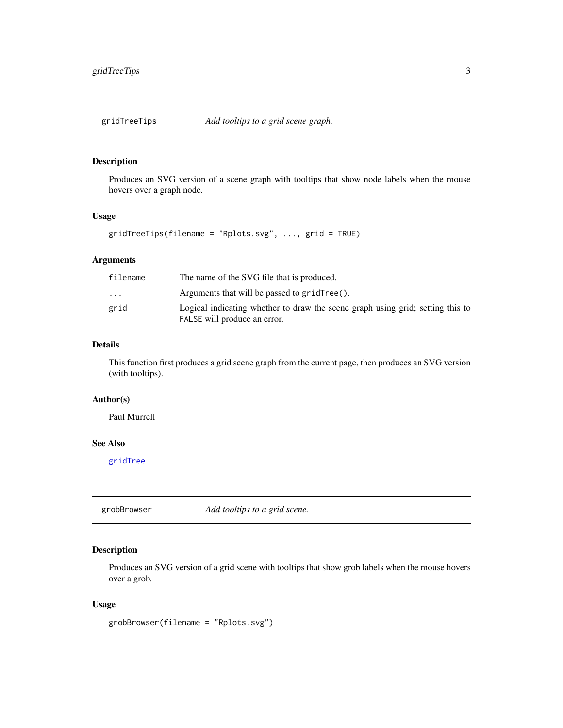<span id="page-2-0"></span>

#### Description

Produces an SVG version of a scene graph with tooltips that show node labels when the mouse hovers over a graph node.

#### Usage

gridTreeTips(filename = "Rplots.svg", ..., grid = TRUE)

#### Arguments

| filename                | The name of the SVG file that is produced.                                                                     |
|-------------------------|----------------------------------------------------------------------------------------------------------------|
| $\cdot$ $\cdot$ $\cdot$ | Arguments that will be passed to $gridTree()$ .                                                                |
| grid                    | Logical indicating whether to draw the scene graph using grid; setting this to<br>FALSE will produce an error. |

#### Details

This function first produces a grid scene graph from the current page, then produces an SVG version (with tooltips).

#### Author(s)

Paul Murrell

#### See Also

[gridTree](#page-0-1)

grobBrowser *Add tooltips to a grid scene.*

#### Description

Produces an SVG version of a grid scene with tooltips that show grob labels when the mouse hovers over a grob.

#### Usage

grobBrowser(filename = "Rplots.svg")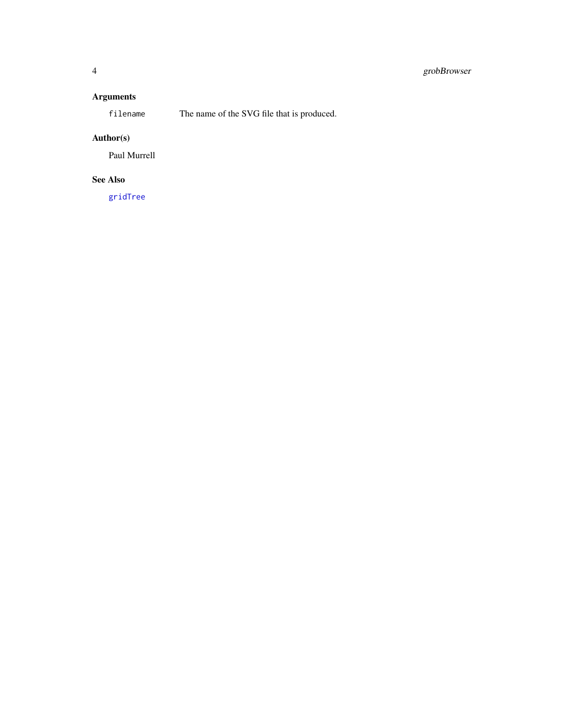#### <span id="page-3-0"></span>4 grobBrowser

#### Arguments

filename The name of the SVG file that is produced.

#### Author(s)

Paul Murrell

#### See Also

[gridTree](#page-0-1)